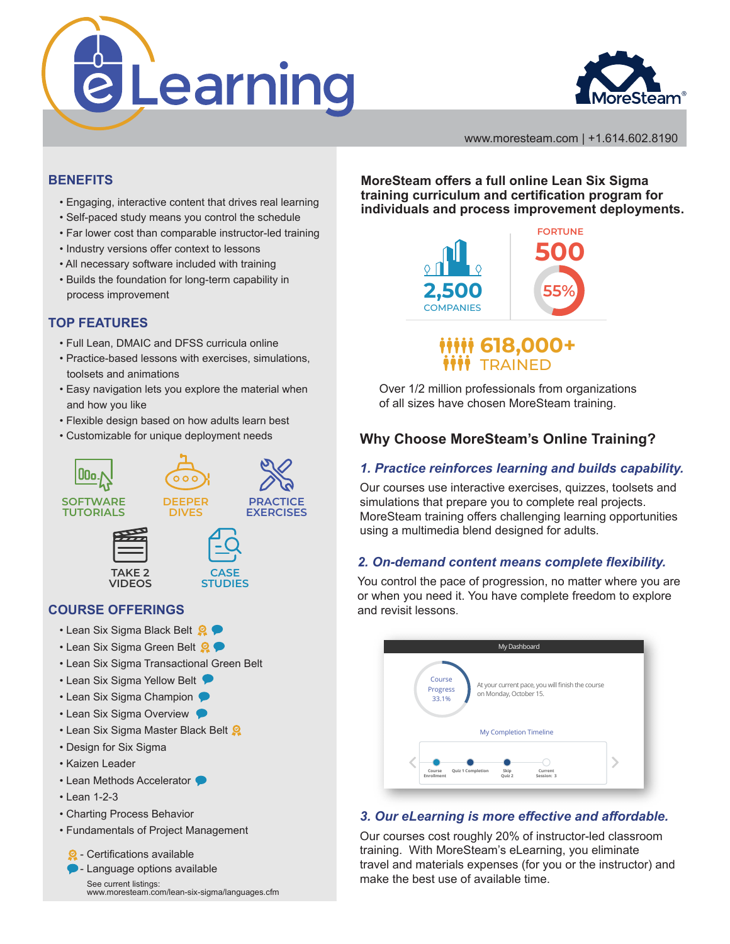



www.moresteam.com | +1.614.602.8190

#### **BENEFITS**

- Engaging, interactive content that drives real learning
- Self-paced study means you control the schedule
- Far lower cost than comparable instructor-led training
- Industry versions offer context to lessons
- All necessary software included with training
- Builds the foundation for long-term capability in process improvement

## **TOP FEATURES**

- Full Lean, DMAIC and DFSS curricula online
- Practice-based lessons with exercises, simulations, toolsets and animations
- Easy navigation lets you explore the material when and how you like
- Flexible design based on how adults learn best
- Customizable for unique deployment needs



## **COURSE OFFERINGS**

- Lean Six Sigma Black Belt
- Lean Six Sigma Green Belt  $\mathbf{Q} \bullet$
- Lean Six Sigma Transactional Green Belt
- Lean Six Sigma Yellow Belt
- Lean Six Sigma Champion
- Lean Six Sigma Overview
- Lean Six Sigma Master Black Belt
- Design for Six Sigma
- Kaizen Leader
- Lean Methods Accelerator
- Lean 1-2-3
- Charting Process Behavior
- Fundamentals of Project Management

 $\Omega$  - Certifications available

**D** - Language options available See current listings: www.moresteam.com/lean-six-sigma/languages.cfm **MoreSteam offers a full online Lean Six Sigma training curriculum and certification program for individuals and process improvement deployments.**



# **618,000+ TRAINED**

Over 1/2 million professionals from organizations of all sizes have chosen MoreSteam training.

# **Why Choose MoreSteam's Online Training?**

#### *1. Practice reinforces learning and builds capability.*

Our courses use interactive exercises, quizzes, toolsets and simulations that prepare you to complete real projects. MoreSteam training offers challenging learning opportunities using a multimedia blend designed for adults.

## *2. On-demand content means complete flexibility.*

You control the pace of progression, no matter where you are or when you need it. You have complete freedom to explore and revisit lessons.



#### *3. Our eLearning is more effective and affordable.*

Our courses cost roughly 20% of instructor-led classroom training. With MoreSteam's eLearning, you eliminate travel and materials expenses (for you or the instructor) and make the best use of available time.